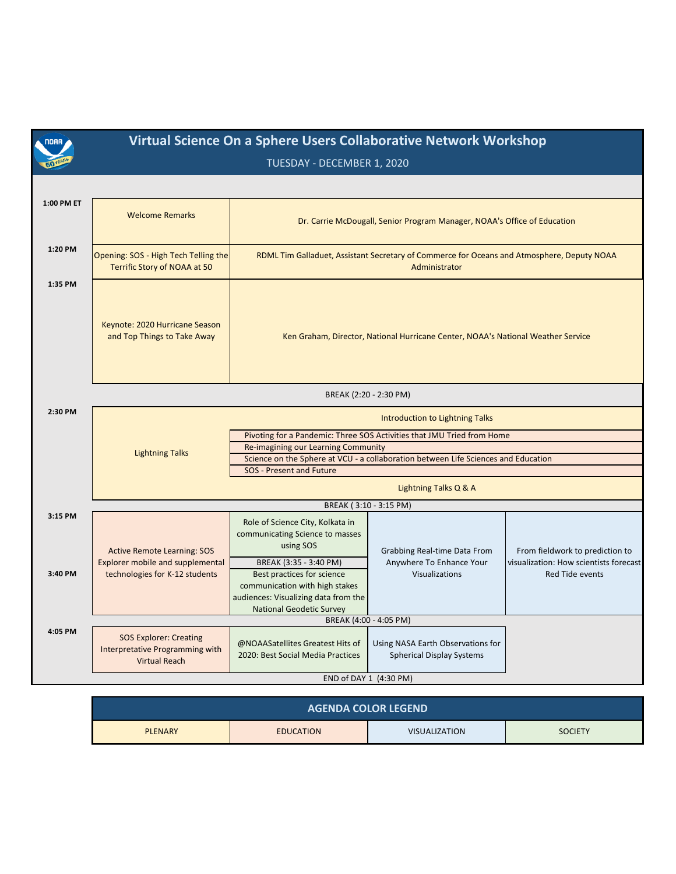| noaa j             | Virtual Science On a Sphere Users Collaborative Network Workshop<br>TUESDAY - DECEMBER 1, 2020                  |                                                                                                                                                                                                                                                                                  |                                                                                   |                                                                                                     |  |
|--------------------|-----------------------------------------------------------------------------------------------------------------|----------------------------------------------------------------------------------------------------------------------------------------------------------------------------------------------------------------------------------------------------------------------------------|-----------------------------------------------------------------------------------|-----------------------------------------------------------------------------------------------------|--|
|                    |                                                                                                                 |                                                                                                                                                                                                                                                                                  |                                                                                   |                                                                                                     |  |
| 1:00 PM ET         | <b>Welcome Remarks</b>                                                                                          |                                                                                                                                                                                                                                                                                  | Dr. Carrie McDougall, Senior Program Manager, NOAA's Office of Education          |                                                                                                     |  |
| 1:20 PM            | Opening: SOS - High Tech Telling the<br>Terrific Story of NOAA at 50                                            | RDML Tim Galladuet, Assistant Secretary of Commerce for Oceans and Atmosphere, Deputy NOAA<br>Administrator                                                                                                                                                                      |                                                                                   |                                                                                                     |  |
| 1:35 PM            | Keynote: 2020 Hurricane Season<br>and Top Things to Take Away                                                   |                                                                                                                                                                                                                                                                                  | Ken Graham, Director, National Hurricane Center, NOAA's National Weather Service  |                                                                                                     |  |
|                    |                                                                                                                 | BREAK (2:20 - 2:30 PM)                                                                                                                                                                                                                                                           |                                                                                   |                                                                                                     |  |
| 2:30 PM            | <b>Lightning Talks</b>                                                                                          | <b>Introduction to Lightning Talks</b><br>Pivoting for a Pandemic: Three SOS Activities that JMU Tried from Home<br>Re-imagining our Learning Community<br>Science on the Sphere at VCU - a collaboration between Life Sciences and Education<br><b>SOS</b> - Present and Future |                                                                                   |                                                                                                     |  |
|                    |                                                                                                                 | Lightning Talks Q & A                                                                                                                                                                                                                                                            |                                                                                   |                                                                                                     |  |
|                    |                                                                                                                 | BREAK (3:10 - 3:15 PM)                                                                                                                                                                                                                                                           |                                                                                   |                                                                                                     |  |
| 3:15 PM<br>3:40 PM | <b>Active Remote Learning: SOS</b><br><b>Explorer mobile and supplemental</b><br>technologies for K-12 students | Role of Science City, Kolkata in<br>communicating Science to masses<br>using SOS<br>BREAK (3:35 - 3:40 PM)<br>Best practices for science<br>communication with high stakes<br>audiences: Visualizing data from the<br><b>National Geodetic Survey</b>                            | Grabbing Real-time Data From<br>Anywhere To Enhance Your<br><b>Visualizations</b> | From fieldwork to prediction to<br>visualization: How scientists forecast<br><b>Red Tide events</b> |  |
|                    |                                                                                                                 | BREAK (4:00 - 4:05 PM)                                                                                                                                                                                                                                                           |                                                                                   |                                                                                                     |  |
| 4:05 PM            | <b>SOS Explorer: Creating</b><br>Interpretative Programming with<br><b>Virtual Reach</b>                        | @NOAASatellites Greatest Hits of<br>2020: Best Social Media Practices                                                                                                                                                                                                            | Using NASA Earth Observations for<br><b>Spherical Display Systems</b>             |                                                                                                     |  |
|                    | END of DAY 1 (4:30 PM)                                                                                          |                                                                                                                                                                                                                                                                                  |                                                                                   |                                                                                                     |  |

| <b>AGENDA COLOR LEGEND</b> |                  |                      |                |  |
|----------------------------|------------------|----------------------|----------------|--|
| <b>PLENARY</b>             | <b>EDUCATION</b> | <b>VISUALIZATION</b> | <b>SOCIETY</b> |  |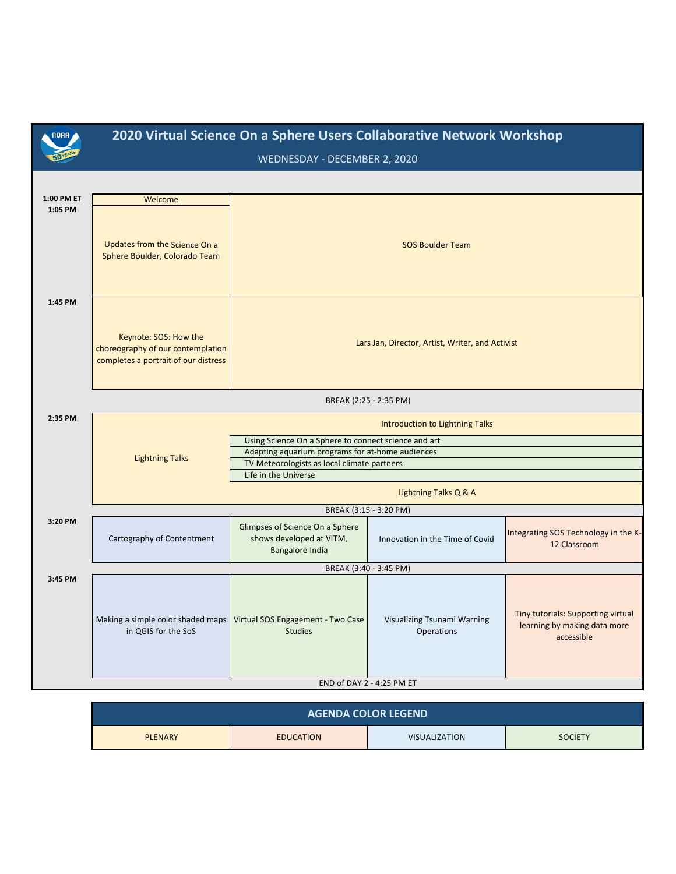| <b>NOAA</b>           | 2020 Virtual Science On a Sphere Users Collaborative Network Workshop<br>WEDNESDAY - DECEMBER 2, 2020 |                                                                                                 |                                           |                                                                                  |
|-----------------------|-------------------------------------------------------------------------------------------------------|-------------------------------------------------------------------------------------------------|-------------------------------------------|----------------------------------------------------------------------------------|
|                       |                                                                                                       |                                                                                                 |                                           |                                                                                  |
| 1:00 PM ET<br>1:05 PM | Welcome                                                                                               |                                                                                                 |                                           |                                                                                  |
|                       | Updates from the Science On a<br>Sphere Boulder, Colorado Team                                        |                                                                                                 | <b>SOS Boulder Team</b>                   |                                                                                  |
| 1:45 PM               | Keynote: SOS: How the<br>choreography of our contemplation<br>completes a portrait of our distress    | Lars Jan, Director, Artist, Writer, and Activist                                                |                                           |                                                                                  |
|                       |                                                                                                       | BREAK (2:25 - 2:35 PM)                                                                          |                                           |                                                                                  |
| 2:35 PM               |                                                                                                       | Introduction to Lightning Talks                                                                 |                                           |                                                                                  |
|                       |                                                                                                       | Using Science On a Sphere to connect science and art                                            |                                           |                                                                                  |
|                       | <b>Lightning Talks</b>                                                                                | Adapting aquarium programs for at-home audiences<br>TV Meteorologists as local climate partners |                                           |                                                                                  |
|                       |                                                                                                       | Life in the Universe                                                                            |                                           |                                                                                  |
|                       |                                                                                                       | Lightning Talks Q & A                                                                           |                                           |                                                                                  |
|                       |                                                                                                       | BREAK (3:15 - 3:20 PM)                                                                          |                                           |                                                                                  |
| 3:20 PM               | Cartography of Contentment                                                                            | Glimpses of Science On a Sphere<br>shows developed at VITM,<br><b>Bangalore India</b>           | Innovation in the Time of Covid           | Integrating SOS Technology in the K-<br>12 Classroom                             |
|                       |                                                                                                       | BREAK (3:40 - 3:45 PM)                                                                          |                                           |                                                                                  |
| 3:45 PM               | Making a simple color shaded maps<br>in QGIS for the SoS                                              | Virtual SOS Engagement - Two Case<br><b>Studies</b>                                             | Visualizing Tsunami Warning<br>Operations | Tiny tutorials: Supporting virtual<br>learning by making data more<br>accessible |
|                       | END of DAY 2 - 4:25 PM ET                                                                             |                                                                                                 |                                           |                                                                                  |

| <b>AGENDA COLOR LEGEND</b> |                  |                      |                |  |
|----------------------------|------------------|----------------------|----------------|--|
| <b>PLENARY</b>             | <b>EDUCATION</b> | <b>VISUALIZATION</b> | <b>SOCIETY</b> |  |